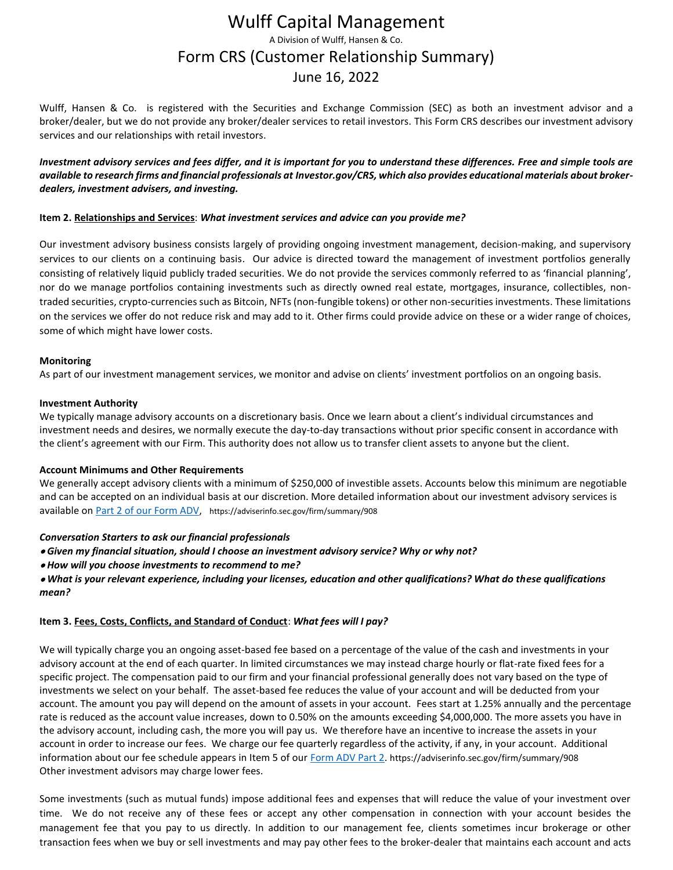### Wulff Capital Management A Division of Wulff, Hansen & Co. Form CRS (Customer Relationship Summary) June 16, 2022

Wulff, Hansen & Co. is registered with the Securities and Exchange Commission (SEC) as both an investment advisor and a broker/dealer, but we do not provide any broker/dealer services to retail investors. This Form CRS describes our investment advisory services and our relationships with retail investors.

*Investment advisory services and fees differ, and it is important for you to understand these differences. Free and simple tools are available to research firms and financial professionals at Investor.gov/CRS, which also provides educational materials about brokerdealers, investment advisers, and investing.*

#### **Item 2. Relationships and Services**: *What investment services and advice can you provide me?*

Our investment advisory business consists largely of providing ongoing investment management, decision-making, and supervisory services to our clients on a continuing basis. Our advice is directed toward the management of investment portfolios generally consisting of relatively liquid publicly traded securities. We do not provide the services commonly referred to as 'financial planning', nor do we manage portfolios containing investments such as directly owned real estate, mortgages, insurance, collectibles, nontraded securities, crypto-currencies such as Bitcoin, NFTs (non-fungible tokens) or other non-securities investments. These limitations on the services we offer do not reduce risk and may add to it. Other firms could provide advice on these or a wider range of choices, some of which might have lower costs.

#### **Monitoring**

As part of our investment management services, we monitor and advise on clients' investment portfolios on an ongoing basis.

#### **Investment Authority**

We typically manage advisory accounts on a discretionary basis. Once we learn about a client's individual circumstances and investment needs and desires, we normally execute the day-to-day transactions without prior specific consent in accordance with the client's agreement with our Firm. This authority does not allow us to transfer client assets to anyone but the client.

#### **Account Minimums and Other Requirements**

We generally accept advisory clients with a minimum of \$250,000 of investible assets. Accounts below this minimum are negotiable and can be accepted on an individual basis at our discretion. More detailed information about our investment advisory services is available on [Part 2 of our Form ADV,](https://adviserinfo.sec.gov/firm/summary/908) https://adviserinfo.sec.gov/firm/summary/908

#### *Conversation Starters to ask our financial professionals*

- *Given my financial situation, should I choose an investment advisory service? Why or why not?*
- *How will you choose investments to recommend to me?*

#### • *What is your relevant experience, including your licenses, education and other qualifications? What do these qualifications mean?*

#### **Item 3. Fees, Costs, Conflicts, and Standard of Conduct**: *What fees will I pay?*

We will typically charge you an ongoing asset-based fee based on a percentage of the value of the cash and investments in your advisory account at the end of each quarter. In limited circumstances we may instead charge hourly or flat-rate fixed fees for a specific project. The compensation paid to our firm and your financial professional generally does not vary based on the type of investments we select on your behalf. The asset-based fee reduces the value of your account and will be deducted from your account. The amount you pay will depend on the amount of assets in your account. Fees start at 1.25% annually and the percentage rate is reduced as the account value increases, down to 0.50% on the amounts exceeding \$4,000,000. The more assets you have in the advisory account, including cash, the more you will pay us. We therefore have an incentive to increase the assets in your account in order to increase our fees. We charge our fee quarterly regardless of the activity, if any, in your account. Additional information about our fee schedule appears in Item 5 of our [Form ADV Part 2.](https://adviserinfo.sec.gov/firm/summary/908) https://adviserinfo.sec.gov/firm/summary/908 Other investment advisors may charge lower fees.

Some investments (such as mutual funds) impose additional fees and expenses that will reduce the value of your investment over time. We do not receive any of these fees or accept any other compensation in connection with your account besides the management fee that you pay to us directly. In addition to our management fee, clients sometimes incur brokerage or other transaction fees when we buy or sell investments and may pay other fees to the broker-dealer that maintains each account and acts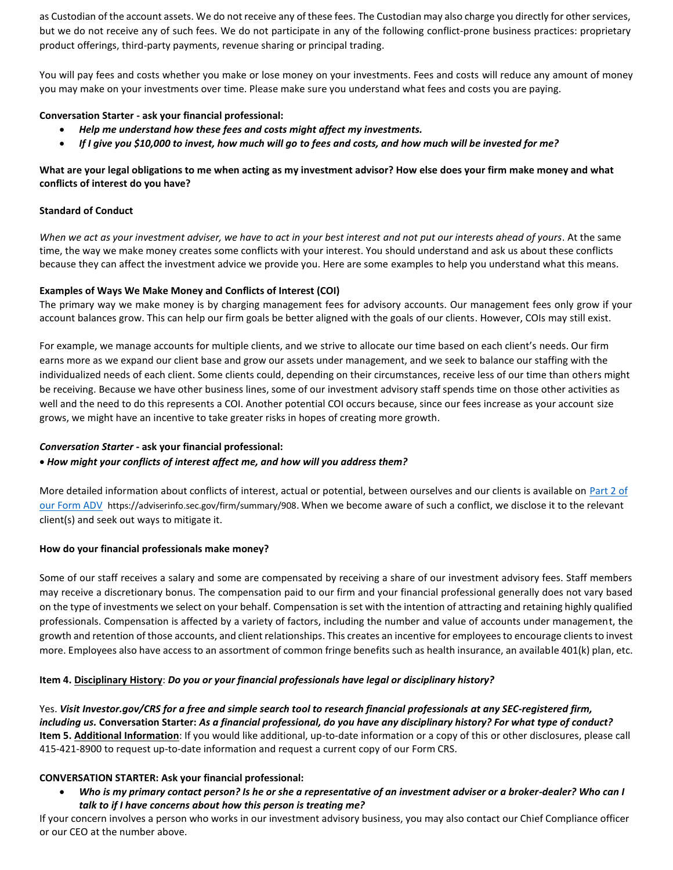as Custodian of the account assets. We do not receive any of these fees. The Custodian may also charge you directly for other services, but we do not receive any of such fees. We do not participate in any of the following conflict-prone business practices: proprietary product offerings, third-party payments, revenue sharing or principal trading.

You will pay fees and costs whether you make or lose money on your investments. Fees and costs will reduce any amount of money you may make on your investments over time. Please make sure you understand what fees and costs you are paying.

#### **Conversation Starter - ask your financial professional:**

- *Help me understand how these fees and costs might affect my investments.*
- *If I give you \$10,000 to invest, how much will go to fees and costs, and how much will be invested for me?*

#### **What are your legal obligations to me when acting as my investment advisor? How else does your firm make money and what conflicts of interest do you have?**

#### **Standard of Conduct**

*When we act as your investment adviser, we have to act in your best interest and not put our interests ahead of yours*. At the same time, the way we make money creates some conflicts with your interest. You should understand and ask us about these conflicts because they can affect the investment advice we provide you. Here are some examples to help you understand what this means.

#### **Examples of Ways We Make Money and Conflicts of Interest (COI)**

The primary way we make money is by charging management fees for advisory accounts. Our management fees only grow if your account balances grow. This can help our firm goals be better aligned with the goals of our clients. However, COIs may still exist.

For example, we manage accounts for multiple clients, and we strive to allocate our time based on each client's needs. Our firm earns more as we expand our client base and grow our assets under management, and we seek to balance our staffing with the individualized needs of each client. Some clients could, depending on their circumstances, receive less of our time than others might be receiving. Because we have other business lines, some of our investment advisory staff spends time on those other activities as well and the need to do this represents a COI. Another potential COI occurs because, since our fees increase as your account size grows, we might have an incentive to take greater risks in hopes of creating more growth.

#### *Conversation Starter* **- ask your financial professional:**

#### • *How might your conflicts of interest affect me, and how will you address them?*

More detailed information about conflicts of interest, actual or potential, between ourselves and our clients is available on [Part 2 of](https://adviserinfo.sec.gov/firm/summary/908)  [our Form ADV](https://adviserinfo.sec.gov/firm/summary/908) https://adviserinfo.sec.gov/firm/summary/908. When we become aware of such a conflict, we disclose it to the relevant client(s) and seek out ways to mitigate it.

#### **How do your financial professionals make money?**

Some of our staff receives a salary and some are compensated by receiving a share of our investment advisory fees. Staff members may receive a discretionary bonus. The compensation paid to our firm and your financial professional generally does not vary based on the type of investments we select on your behalf. Compensation is set with the intention of attracting and retaining highly qualified professionals. Compensation is affected by a variety of factors, including the number and value of accounts under management, the growth and retention of those accounts, and client relationships. This creates an incentive for employees to encourage clients to invest more. Employees also have access to an assortment of common fringe benefits such as health insurance, an available 401(k) plan, etc.

#### **Item 4. Disciplinary History**: *Do you or your financial professionals have legal or disciplinary history?*

Yes. *Visit Investor.gov/CRS for a free and simple search tool to research financial professionals at any SEC-registered firm, including us.* **Conversation Starter:** *As a financial professional, do you have any disciplinary history? For what type of conduct?* **Item 5. Additional Information**: If you would like additional, up-to-date information or a copy of this or other disclosures, please call 415-421-8900 to request up-to-date information and request a current copy of our Form CRS.

#### **CONVERSATION STARTER: Ask your financial professional:**

• *Who is my primary contact person? Is he or she a representative of an investment adviser or a broker-dealer? Who can I talk to if I have concerns about how this person is treating me?*

If your concern involves a person who works in our investment advisory business, you may also contact our Chief Compliance officer or our CEO at the number above.